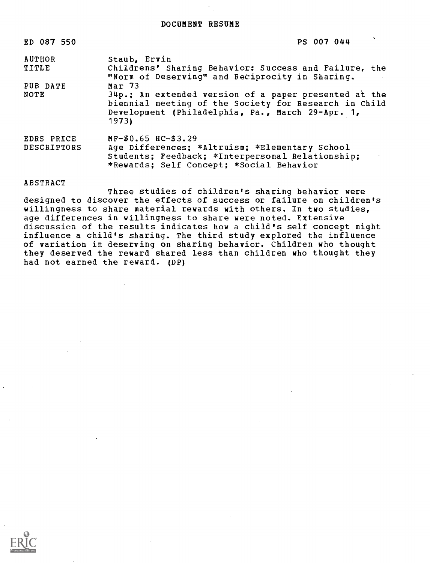| ED 087 550         | PS 007 044                                                                                                                                                                  |
|--------------------|-----------------------------------------------------------------------------------------------------------------------------------------------------------------------------|
| AUTHOR             | Staub, Ervin                                                                                                                                                                |
| <b>TITLE</b>       | Childrens' Sharing Behavior: Success and Failure, the<br>"Norm of Deserving" and Reciprocity in Sharing.                                                                    |
| PUB DATE           | Mar $73$                                                                                                                                                                    |
| NOTE               | 34p.; An extended version of a paper presented at the<br>biennial meeting of the Society for Research in Child<br>Development (Philadelphia, Pa., March 29-Apr. 1,<br>1973) |
| EDRS PRICE         | MF-\$0.65 HC-\$3.29                                                                                                                                                         |
| <b>DESCRIPTORS</b> | Age Differences; *Altruism; *Elementary School<br>Students; Feedback; *Interpersonal Relationship;<br>*Rewards; Self Concept; *Social Behavior                              |

ABSTRACT

Three studies of children's sharing behavior were designed to discover the effects of success or failure on children's willingness to share material rewards with others. In two studies, age differences in willingness to share were noted. Extensive discussion of the results indicates how a child's self concept might influence a child's sharing. The third study explored the influence of variation in deserving on sharing behavior. Children who thought they deserved the reward shared less than children who thought they had not earned the reward. (DP)

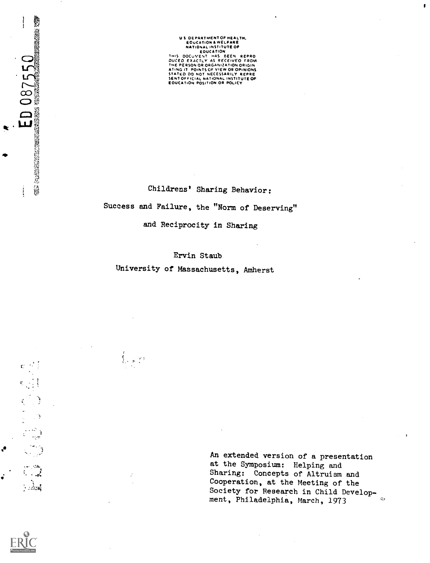US DEPARTMENTOF HEALTH,<br>
EDUCATION A WELFARE<br>
NATIONAL INSTITUTE OF<br>
THIS DOCUVENT HAS BEEN REPRO<br>
THIS DOCUVENT HAS BEEN REPRO<br>
DUCED EXACTLY AS RECEIVED FROM<br>
ATING IT POINTS OF VIEW OR OPINIONS<br>
STATED DO NOT NECESSARIL

Childrens' Sharing Behavior: Success and Failure, the "Norm of Deserving" and Reciprocity in Sharing

Ervin Staub University of Massachusetts, Amherst

 $\sum_{i=1}^N \gamma_i^2$ 

An extended version of a presentation at the Symposium: Helping and Sharing: Concepts of Altruism and Cooperation, at the Meeting of the Society for Research in Child Development, Philadelphia, March, 1973 $\sim$ 



يوردا البا  $\ddotsc$  $\sim$ 

Ĵ.

 $E D 08750$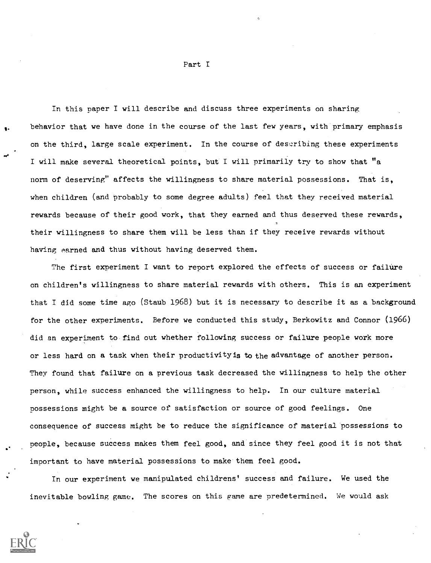In this paper I will describe and discuss three experiments on sharing behavior that we have done in the course of the last few years, with primary emphasis on the third, large scale experiment. In the course of describing these experiments I will make several theoretical points, but I will primarily try to show that "a norm of deserving" affects the willingness to share material possessions. That is, when children (and probably to some degree adults) feel that they received material rewards because of their good work, that they earned and thus deserved these rewards, their willingness to share them will be less than if they receive rewards without having earned and thus without having deserved them.

The first experiment I want to report explored the effects of success or failure on children's willingness to share material rewards with others. This is an experiment that I did some time ago (Staub 1968) but it is necessary to describe it as a background for the other experiments. Before we conducted this study, Berkowitz and Connor (1966) did an experiment to find out whether following success or failure people work more or less hard on a task when their productivity is to the advantage of another person. They found that failure on a previous task decreased the willingness to help the other person, while success enhanced the willingness to help. In our culture material nossessions might be a source of satisfaction or source of good feelings. One consequence of success might be to reduce the significance of material possessions to people, because success makes them feel good, and since they feel good it is not that important to have material possessions to make them feel good.

In our experiment we manipulated childrens' success and failure. We used the inevitable bowling game. The scores on this game are predetermined. We would ask



Part I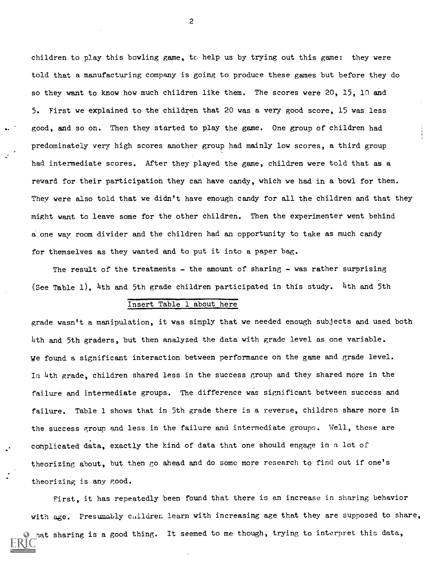children to play this bowling game, to help us by trying out this game: they were told that a manufacturing company is going to produce these games but before they do so they want to know how much children like them. The scores were 20, 15, 10 and 5. First we explained to the children that 20 was a very good score, 15 was less good, and so on. Then they started to play the game. One group of children had predominately very high scores another group had mainly low scores, a third group had intermediate scores. After they played the game, children were told that as a reward for their participation they can have candy, which we had in a bowl for them. They were also told that we didn't have enough candy for all the children and that they might want to leave some for the other children. Then the experimenter went behind a one way room divider and the children had an opportunity to take as much candy for themselves as they wanted and to put it into a paper bag.

The result of the treatments - the amount of sharing - was rather surprising (See Table 1), 4th and 5th grade children participated in this study. 4th and 5th

### Insert Table 1 about here

grade wasn't a manipulation, it was simply that we needed enough subjects and used both 4th and 5th graders, but then analyzed the data with grade level as one variable. we found a significant interaction between performance on the game and grade level. In 4th grade, children shared less in the success group and they shared more in the failure and intermediate groups. The difference was significant between success and failure. Table 1 shows that in 5th grade there is a reverse, children share more in the success group and less in the failure and intermediate groups. Well, these are complicated data, exactly the kind of data that one should engage in a lot of theorizing about, but then go ahead and do some more research to find out if one's theorizing is any good.

First, it has repeatedly been found that there is an increase in sharing behavior with age. Presumably children learn with increasing age that they are supposed to share, nat sharing is a good thing. It seemed to me though, trying to interpret this data,

2

1.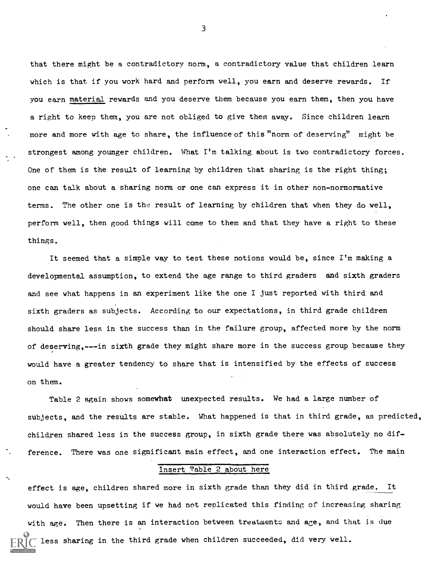that there might be a contradictory norm, a contradictory value that children learn which is that if you work hard and perform well, you earn and deserve rewards. If you earn material rewards and you deserve them because you earn them, then you have a right to keep them, you are not obliged to give them away. Since children learn more and more with age to share, the influence of this "norm of deserving" might be strongest among younger children. What I'm talking about is two contradictory forces. One of them is the result of learning by children that sharing is the right thing; one can talk about a sharing norm or one can express it in other non-nornormative terms. The other one is the result of learning by children that when they do well, perform well, then good things will come to them and that they have a right to these things.

It seemed that a simple way to test these notions would be, since I'm making a developmental assumption, to extend the age range to third graders and sixth graders and see what happens in an experiment like the one I just reported with third and sixth graders as subjects. According to our expectations, in third grade children should share less in the success than in the failure group, affected more by the norm of deserving,---in sixth grade they might share more in the success group because they would have a greater tendency to share that is intensified by the effects of success on them.

Table 2 again shows somewhat unexpected results. We had a large number of subjects, and the results are stable. What happened is that in third grade, as predicted, children shared less in the success group, in sixth grade there was absolutely no difference. There was one significant main effect, and one interaction effect. The main

#### Insert Table 2 about here

effect is age, children shared more in sixth grade than they did in third grade. It would have been upsetting if we had not replicated this finding of increasing sharing with age. Then there is an interaction between treatments and age, and that is due less sharing in the third grade when children succeeded, did very well.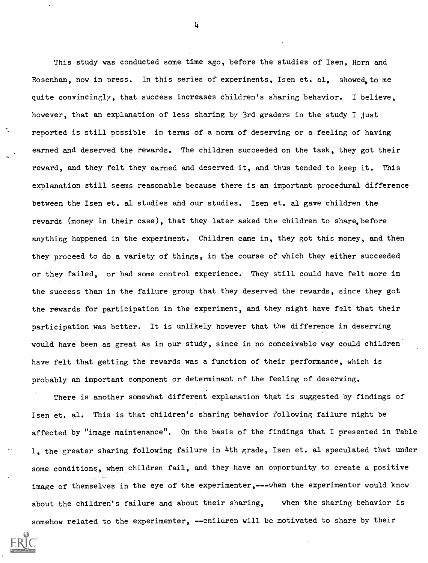This study was conducted some time ago, before the studies of Isen, Horn and Rosenhan, now in press. In this series of experiments, Isen et. al. showed to me quite convincingly, that success increases children's sharing behavior. I believe, however, that an explanation of less sharing by 3rd graders in the study I just reported is still possible in terms of a norm of deserving or a feeling of having earned and deserved the rewards. The children succeeded on the task, they got their reward, and they felt they earned and deserved it, and thus tended to keep it. This explanation still seems reasonable because there is an important procedural difference between the Isen et. al studies and our studies. Isen et. al gave children the rewards (money in their case), that they later asked the children to share, before anything happened in the experiment. Children came in, they got this money, and then they proceed to do a variety of things, in the course of which they either succeeded or they failed, or had some control experience. They still could have felt more in the success than in the failure group that they deserved the rewards, since they got the rewards for participation in the experiment, and they might have felt that their participation was better. It is unlikely however that the difference in deserving would have been as great as in our study, since in no conceivable way could children have felt that getting the rewards was a function of their performance, which is probably an important component or determinant of the feeling of deserving.

There is another somewhat different explanation that is suggested by findings of Isen et. al. This is that children's sharing behavior following failure might be affected by "image maintenance". On the basis of the findings that I presented in Table 1, the greater sharing following failure in 4th grade, Isen et. al speculated that under some conditions, when children fail, and they have an opportunity to create a positive image of themselves in the eye of the experimenter,---when the experimenter would know about the children's failure and about their sharing, when the sharing behavior is somehow related to the experimenter, --children will be motivated to share by their

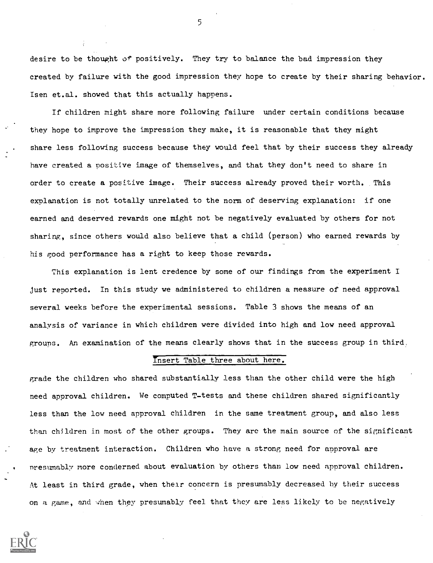desire to be thought of positively. They try to balance the bad impression they created by failure with the good impression they hope to create by their sharing behavior. Isen et.al. showed that this actually happens.

If children might share more following failure under certain conditions because they hope to improve the impression they make, it is reasonable that they might share less following success because they would feel that by their success they already have created a positive image of themselves, and that they don't need to share in order to create a positive image. Their success already proved their worth. This explanation is not totally unrelated to the norm of deserving explanation: if one earned and deserved rewards one might not be negatively evaluated by others for not sharing, since others would also believe that a child (person) who earned rewards by his good performance has a right to keep those rewards.

This explanation is lent credence by some of our findings from the experiment I Just reported. In this study we administered to children a measure of need approval several weeks before the experimental sessions. Table 3 shows the means of an analysis of variance in which children were divided into high and low need approval groups. An examination of the means clearly shows that in the success group in third,

#### Insert Table three about here.

grade the children who shared substantially less than the other child were the high need approval children. We computed T-tests and these children shared significantly less than the low need approval children in the same treatment group, and also less than children in most of the other groups. They are the main source of the significant age by treatment interaction. Children who have a strong need for approval are presumably more conderned about evaluation by others than low need approval children. At least in third grade, when their concern is presumably decreased by their success on a game, and when they presumably feel that they are less likely to be negatively



 $\mathcal{F}$  and  $\mathcal{F}$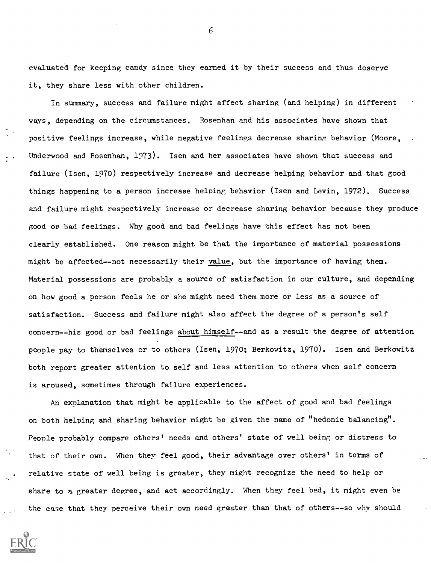evaluated for keeping candy since they earned it by their success and thus deserve it, they share less with other children.

In summary, success and failure might affect sharing (and helping) in different ways, depending on the circumstances. Rosenhan and his associates have shown that positive feelings increase, while negative feelings decrease sharing behavior (Moore, Underwood and Rosenhan, 1973). Isen and her associates have shown that success and failure (Isen, 1970) respectively increase and decrease helping behavior and that good things happening to a person increase helping behavior (Isen and Levin, 1972), Success and failure might respectively increase or decrease sharing behavior because they produce good or bad feelings. Why good and bad feelings have this effect has not been clearly established. One reason might be that the importance of material possessions might be affected--not necessarily their value, but the importance of having them. Material possessions are probably a source of satisfaction in our culture, and depending on how good a person feels he or she might need them more or less as a source of satisfaction. Success and failure might also affect the degree of a person's self concern--his good or bad feelings about himself--and as a result the degree of attention people pay to themselves or to others (Isen, 1970; Berkowitz, 1970). Isen and Berkowitz both report greater attention to self and less attention to others when self concern is aroused, sometimes through failure experiences.

An explanation that might be applicable to the affect of good and bad feelings on both helping and sharing behavior might be given the name of "hedonic balancing". People probably compare others' needs and others' state of well being or distress to that of their own. When they feel good, their advantage over others' in terms of relative state of well being is greater, they might recognize the need to help or share to a greater degree, and act accordingly. When they feel bad, it might even be the case that they perceive their own need greater than that of others--so why should

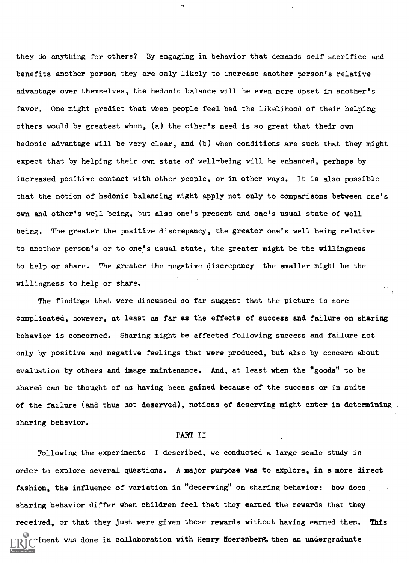they do anything for others? By engaging in behavior that demands self sacrifice and benefits another person they are only likely to increase another person's relative advantage over themselves, the hedonic balance will be even more upset in another's favor. One might predict that when people feel bad the likelihood of their helping others would be greatest when, (a) the other's need is so great that their own hedonic advantage will be very clear, and (b) when conditions are such that they might expect that by helping their own state of well-being will be enhanced, perhaps by increased positive contact with other people, or in other ways. It is also possible that the notion of hedonic balancing might apply not only to comparisons between one's own and other's well being, but also one's present and one's usual state of well being. The greater the positive discrepancy, the greater one's well being relative to another person's or to one's usual state, the greater might be the willingness to help or share. The greater the negative discrepancy the smaller might be the willingness to help or share.

The findings that were discussed so far suggest that the picture is more complicated, however, at least as far as the effects of success and failure on sharing behavior is concerned. Sharing might be affected following success and failure not only by positive and negative, feelings that were produced, but also by concern about evaluation by others and image maintenance. And, at least when the "goods" to be shared can be thought of as having been gained because of the success or in spite of the failure (and thus not deserved), notions of deserving might enter in determining sharing behavior.

### PART II

Following the experiments I described, we conducted a large scale study in order to explore several questions. A major purpose was to explore, in a more direct fashion, the influence of variation in "deserving" on sharing behavior: how does sharing behavior differ when children feel that they earned the rewards that they received, or that they just were given these rewards without having earned them. This iment was done in collaboration with Henry Noerenberg, then an undergraduate

 $\overline{1}$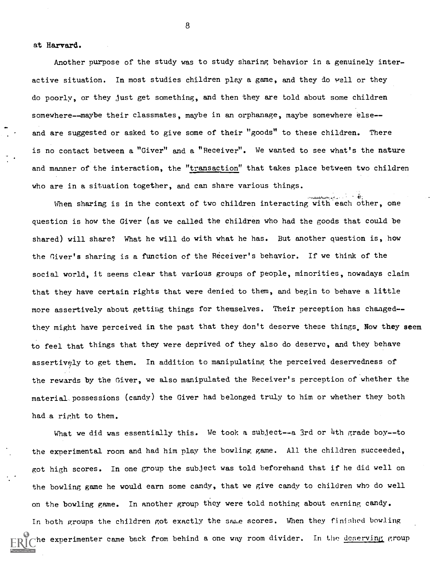at Harvard.

Another purpose of the study was to study sharing behavior in a genuinely interactive situation. In most studies children play a game, and they do well or they do poorly, or they just get something, and then they are told about some children somewhere--maybe their classmates, maybe in an orphanage, maybe somewhere else-and are suggested or asked to give some of their "goods" to these children. There is no contact between a "Giver" and a "Receiver". We wanted to see what's the nature and manner of the interaction, the "transaction" that takes place between two children who are in a situation together, and can share various things.

When sharing is in the context of two children interacting with each other, one question is how the Giver (as we called the children who had the goods that could be shared) will share? What he will do with what he has. But another question is, how the Giver's sharing is a function of the Receiver's behavior. If we think of the social world, it seems clear that various groups of people, minorities, nowadays claim that they have certain rights that were denied to them, and begin to behave a little more assertively about getting things for themselves. Their perception has changed-they might have perceived in the past that they don't deserve these things. Now they seem to feel that things that they were deprived of they also do deserve, and they behave assertively to get them. In addition to manipulating the perceived deservedness of the rewards by the Giver, we also manipulated the Receiver's perception of whether the material, possessions (candy) the Giver had belonged truly to him or whether they both had a right to them.

What we did was essentially this. We took a subject--a 3rd or 4th grade boy--to the experimental room and had him play the bowling game. All the children succeeded, got high scores. In one group the subject was told beforehand that if he did well on the bowling game he would earn some candy, that we give candy to children who do well on the bowling game. In another group they were told nothing about earning candy. In both groups the children got exactly the same scores. When they finished bowling the experimenter came back from behind a one way room divider. In the deserving group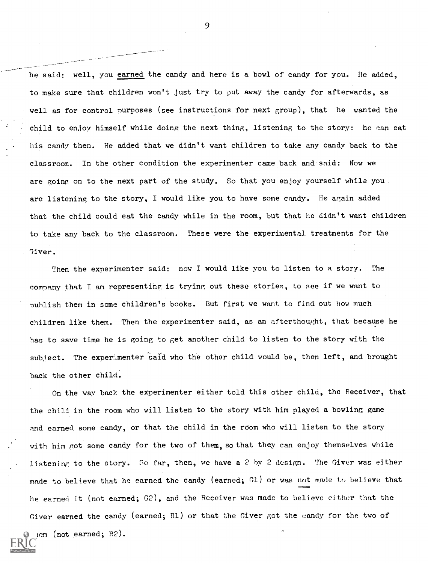he said: well, you earned the candy and here is a bowl of candy for you. He added, to make sure that children won't just try to put away the candy for afterwards, as well as for control purposes (see instructions for next group), that he wanted the child to enjoy himself while doing the next thing, listening to the story: he can eat his candy then. He added that we didn't want children to take any candy back to the classroom. In the other condition the experimenter came back and said: Now we are going on to the next part of the study. So that you enjoy yourself while you. are listening to the story, I would like you to have some candy. He again added that the child could eat the candy while in the room, but that he didn't want children to take any back to the classroom. These were the experimental treatments for the Giver.

Then the experimenter said: now I would like you to listen to a story. The company that T am representing is tryinr, out these stories, to see if we want to publish them in some children's books. But first we want to find out how much children like them. Then the experimenter said, as an afterthought, that because he has to save time he is going to get another child to listen to the story with the subject. The experimenter said who the other child would be, then left, and brought back the other child.

On the way back the experimenter either told this other child, the Receiver, that the child in the room who will listen to the story with him played a bowling game and earned some candy, or that the child in the room who will listen to the story with him got some candy for the two of them, so that they can enjoy themselves while listening to the story. So far, then, we have a 2 by 2 design. The Giver was either made to believe that he earned the candy (earned; Gl) or was not made to believe that he earned it (not earned; G2), and the Receiver was made to believe either that the Giver earned the candy (earned; R1) or that the Giver got the candy for the two of

 $t$  arned; R2).

\_ ..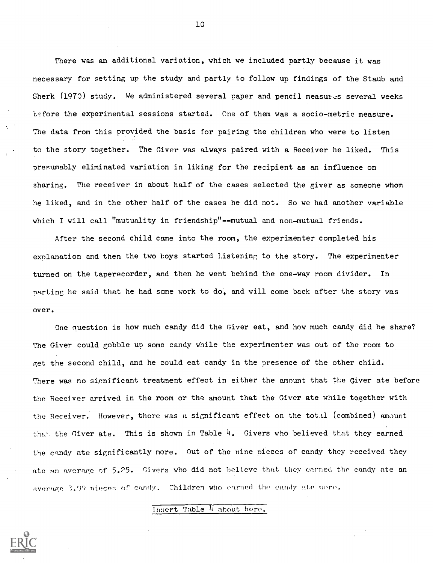There was an additional variation, which we included partly because it was necessary for setting up the study and partly to follow up findings of the Staub and Sherk (1970) study. We administered several paper and pencil measures several weeks before the experimental sessions started. One of them was a socio-metric measure. The data from this provided the basis for pairing the children who were to listen to the story together. The Giver was always paired with a Receiver he liked. This presumably eliminated variation in liking for the recipient as an influence on sharing. The receiver in about half of the cases selected the giver as someone whom he liked, and in the other half of the cases he did not. So we had another variable which I will call "mutuality in friendship"--mutual and non-mutual friends.

After the second child came into the room, the experimenter completed his explanation and then the two boys started listening to the story. The experimenter turned on the taperecorder, and then he went behind the one-way room divider. In parting he said that he had some work to do, and will come back after the story was over.

One nuestion is how much candy did the Giver eat, and how much candy did he share? The Giver could gobble up some candy while the experimenter was out of the room to get the second child, and he could eat candy in the presence of the other child. There was no significant treatment effect in either the amount that the Giver ate before the Receiver arrived in the room or the amount that the Giver ate while together with the Receiver. However, there was a significant effect on the  $total$  (combined) amount that the Giver ate. This is shown in Table  $4.$  Givers who believed that they earned the candy ate significantly more. Out of the nine pieces of candy they received they ate an average of 5.25. Givers who did not believe that they carned the candy ate an average 3.99 nieces of candy. Children who earned the candy ate more.

Insert Table 4 about here.

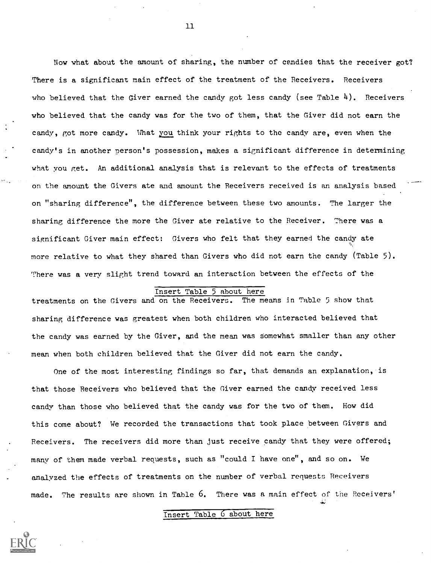Now what about the amount of sharing, the number of candies that the receiver got? There is a significant main effect of the treatment of the Receivers. Receivers who believed that the Giver earned the candy got less candy (see Table 4). Receivers who believed that the candy was for the two of them, that the Giver did not earn the candy, got more candy. What you think your rights to the candy are, even when the candy's in another person's possession, makes a significant difference in determining what you get. An additional analysis that is relevant to the effects of treatments on the amount the Givers ate and amount the Receivers received is an analysis based on "sharing difference", the difference between these two amounts. The larger the sharing difference the more the Giver ate relative to the Receiver. There was a significant Giver main effect: Givers who felt that they earned the candy ate more relative to what they shared than Givers who did not earn the candy (Table 5). There was a very slight trend toward an interaction between the effects of the

### Insert Table 5 about here

treatments on the Givers and on the Receivers. The means in Table 5 show that sharing difference was greatest when both children who interacted believed that the candy was earned by the Giver, and the mean was somewhat smaller than any other mean when both children believed that the Giver did not earn the candy.

One of the most interesting findings so far, that demands an explanation, is that those Receivers who believed that the Giver earned the candy received less candy than those who believed that the candy was for the two of them. How did this come about? We recorded the transactions that took place between Givers and Receivers. The receivers did more than just receive candy that they were offered; many of them made verbal requests, such as "could I have one", and so on. We analyzed the effects of treatments on the number of verbal requests Receivers made. The results are shown in Table 6. There was a main effect of the Receivers'

#### Insert Table 6 about here

11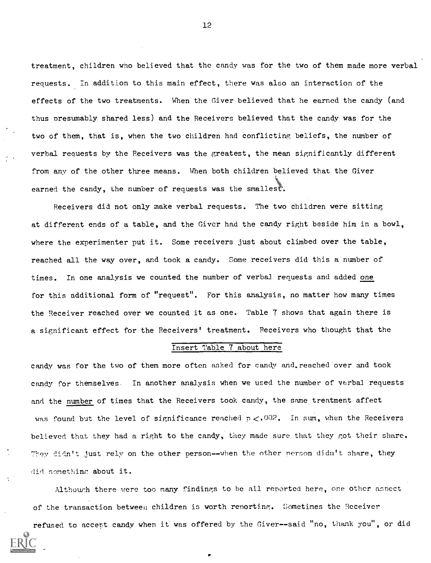treatment, children who believed that the candy was for the two of them made more verbal requests. In addition to this main effect, there was also an interaction of the effects of the two treatments. When the Giver believed that he earned the candy (and thus presumably shared less) and the Receivers believed that the candy was for the two of them, that is, when the two children had conflicting beliefs, the number of verbal requests by the Receivers was the greatest, the mean significantly different from any of the other three means. When both children believed that the Giver earned the candy, the number of requests was the smallest.

Receivers did not only make verbal requests. The two children were sitting at different ends of a table, and the Giver had the candy right beside him in a bowl, where the experimenter put it. Some receivers just about climbed over the table, reached all the way over, and took a candy. Some receivers did this a number of times. In one analysis we counted the number of verbal requests and added one for this additional form of "request". For this analysis, no matter how many times the Receiver reached over we counted it as one. Table 7 shows that again there is a significant effect for the Receivers' treatment. Receivers who thought that the

#### Insert Table 7 about here

candy was for the two of them more often asked for candy and.reached over and took candy for themselves. In another analysis when we used the number of verbal requests and the number of times that the Receivers took candy, the same treatment affect was found but the level of significance reached  $p < .002$ . In sum, when the Receivers believed that they had a right to the candy, they made sure that they got their share. They didn't just rely on the other person--when the other person didn't share, they did something about it.

Although there were too many findings to be all reported here, one other aspect of the transaction between children is worth renorting. Sometimes the Receiver

refused to accept candy when it was offered by the Giver--said "no, thank you", or did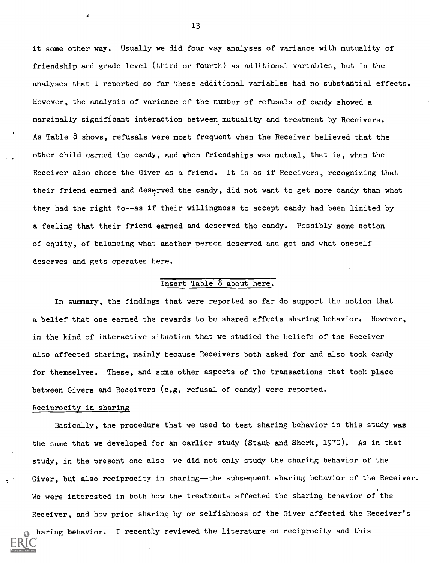it some other way. Usually we did four way analyses of variance with mutuality of friendship and grade level (third or fourth) as additional variables, but in the analyses that I reported so far these additional variables had no substantial effects. However, the analysis of variance of the number of refusals of candy showed a marginally significant interaction between mutuality and treatment by Receivers. As Table  $8$  shows, refusals were most frequent when the Receiver believed that the other child earned the candy, and when friendships was mutual, that is, when the Receiver also chose the Giver as a friend. It is as if Receivers, recognizing that their friend earned and deserved the candy, did not want to get more candy than what they had the right to--as if their willingness to accept candy had been limited by a feeling that their friend earned and deserved the candy. Possibly some notion of equity, of balancing what another person deserved and got and what oneself deserves and gets operates here.

#### Insert Table 8 about here.

In summary, the findings that were reported so far do support the notion that a belief that one earned the rewards to be shared affects sharing behavior. However, in the kind of interactive situation that we studied the beliefs of the Receiver also affected sharing, mainly because Receivers both asked for and also took candy for themselves. These, and some other aspects of the transactions that took place between Givers and Receivers (e.g. refusal of candy) were reported.

#### Reciprocity in sharing

Basically, the procedure that we used to test sharing behavior in this study was the same that we developed for an earlier study (Staub and Sherk, 1970). As in that study, in the present one also we did not only study the sharing behavior of the Giver, but also reciprocity in sharing--the subsequent sharing behavior of the Receiver. We were interested in both how the treatments affected the sharing behavior of the Receiver, and how prior sharing by or selfishness of the Giver affected the Receiver's

-haring behavior. I recently reviewed the literature on reciprocity and this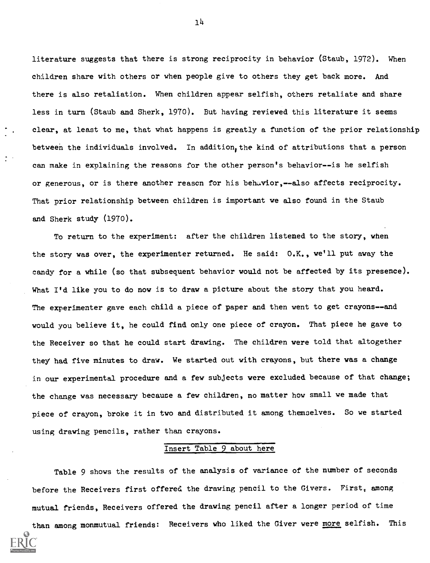literature suggests that there is strong reciprocity in behavior (Staub, 1972). When children share with others or when people give to others they get back more. And there is also retaliation. When children appear selfish, others retaliate and share less in turn (Staub and Sherk, 1970). But having reviewed this literature it seems clear, at least to me, that what happens is greatly a function of the prior relationship between the individuals involved. In addition, the kind of attributions that a person can make in explaining the reasons for the other person's behavior--is he selfish or generous, or is there another reason for his behavior,--also affects reciprocity. That prior relationship between children is important we also found in the Staub and Sherk study (1970).

To return to the experiment: after the children listened to the story, when the story was over, the experimenter returned. He said: O.K., we'll put away the candy for a while (so that subsequent behavior would not be affected by its presence). What I'd like you to do now is to draw a picture about the story that you heard. The experimenter gave each child a piece of paper and then went to get crayons--and would you believe it, he could find only one piece of crayon. That piece he gave to the Receiver so that he could start drawing. The children were told that altogether they had five minutes to draw. We started out with crayons, but there was a change in our experimental procedure and a few subjects were excluded because of that change; the change was necessary because a few children, no matter how small we made that piece of crayon, broke it in two and distributed it among themselves. So we started using drawing pencils, rather than crayons.

#### Insert Table 9 about here

Table 9 shows the results of the analysis of variance of the number of seconds before the Receivers first offered the drawing pencil to the Givers. First, among mutual friends, Receivers offered the drawing pencil after a longer period of time than among monmutual friends: Receivers who liked the Giver were more selfish. This

114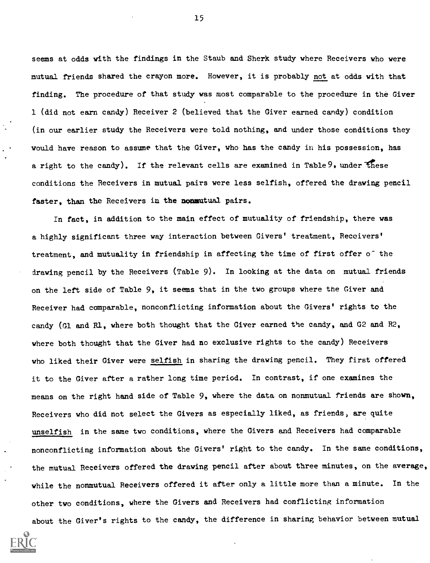seems at odds with the findings in the Staub and Sherk study where Receivers who were mutual friends shared the crayon more. However, it is probably not at odds with that finding. The procedure of that study was most comparable to the procedure in the Giver 1 (did not earn candy) Receiver 2 (believed that the Giver earned candy) condition (in our earlier study the Receivers were told nothing, and under those conditions they would have reason to assume that the Giver, who has the candy in his possession, has a right to the candy). If the relevant cells are examined in Table 9, under these conditions the Receivers in mutual pairs were less selfish, offered the drawing pencil faster, than the Receivers in the nonmutual pairs.

In fact, in addition to the main effect of mutuality of friendship, there was a highly significant three way interaction between Givers' treatment, Receivers' treatment, and mutuality in friendship in affecting the time of first offer of the drawing pencil by the Receivers (Table 9). In looking at the data on mutual friends on the left side of Table 9, it seems that in the two groups where the Giver and Receiver had comparable, nonconflicting information about the Givers' rights to the candy (G1 and R1, where both thought that the Giver earned the candy, and G2 and R2, where both thought that the Giver had no exclusive rights to the candy) Receivers who liked their Giver were selfish in sharing the drawing pencil. They first offered it to the Giver after a rather long time period. In contrast, if one examines the means on the right hand side of Table 9, where the data on nonmutual friends are shown, Receivers who did not select the Givers as especially liked, as friends, are quite unselfish in the same two conditions, where the Givers and Receivers had comparable nonconflicting information about the Givers' right to the candy. In the same conditions, the mutual Receivers offered the drawing pencil after about three minutes, on the average, while the nonmutual Receivers offered it after only a little more than a minute. In the other two conditions, where the Givers and Receivers had conflicting information about the Giver's rights to the candy, the difference in sharing behavior between mutual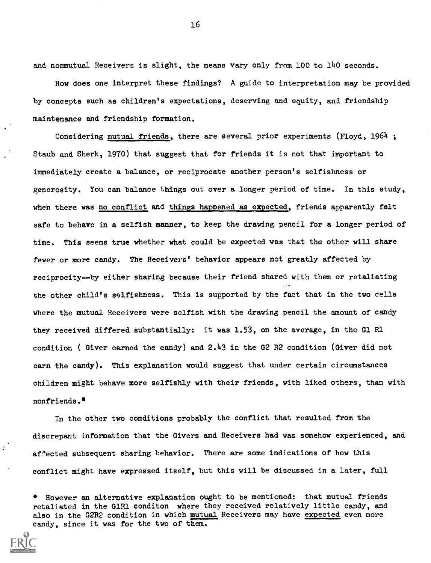and nonmutual Receivers is slight, the means vary only from 100 to 140 seconds.

How does one interpret these findings? A guide to interpretation may be provided by concepts such as children's expectations, deserving and equity, and friendship maintenance and friendship formation.

Considering mutual friends, there are several prior experiments (Floyd, 1964 ; Staub and Sherk, 1970) that suggest that for friends it is not that important to immediately create a balance, or reciprocate another person's selfishness or generosity. You can balance things out over a longer period of time. In this study, when there was no conflict and things happened as expected, friends apparently felt safe to behave in a selfish manner, to keep the drawing pencil for a longer period of time. This seems true whether what could be expected was that the other will share fewer or more candy. The Receivers' behavior appears not greatly affected by reciprocity--by either sharing because their friend shared with them or retaliating the other child's selfishness. This is supported by the fact that in the two cells where the mutual Receivers were selfish with the drawing pencil the amount of candy they received differed substantially: it was 1.53, on the average, in the G1 R1 condition ( Giver earned the candy) and 2.43 in the G2 R2 condition (Giver did not earn the candy). This explanation would suggest that under certain circumstances children might behave more selfishly with their friends, with liked others, than with nonfriends.\*

In the other two conditions probably the conflict that resulted from the discrepant information that the Givers and Receivers had was somehow experienced, and affected subsequent sharing behavior. There are some indications of how this conflict might have expressed itself, but this will be discussed in a later, full

However an alternative explanation ought to be mentioned: that mutual friends retaliated in the G1R1 conditon where they received relatively little candy, and also in the G2R2 condition in which mutual Receivers may have expected even more candy, since it was for the two of them.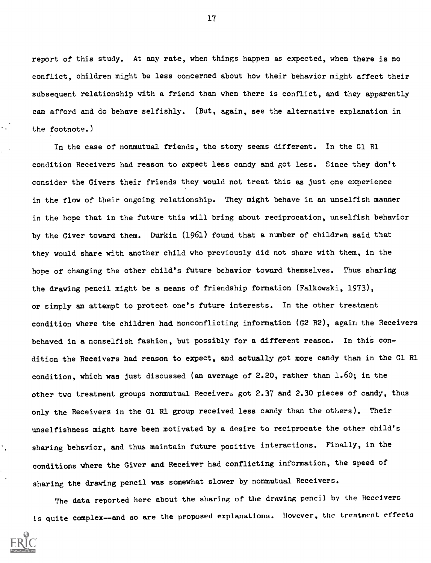report of this study. At any rate, when things happen as expected, when there is no conflict, children might be less concerned about how their behavior might affect their subsequent relationship with a friend than when there is conflict, and they apparently can afford and do behave selfishly. (But, again, see the alternative explanation in the footnote.)

In the case of nonmutual friends, the story seems different. In the G1 R1 condition Receivers had reason to expect less candy and got less. Since they don't consider the Givers their friends they would not treat this as just one experience in the flow of their ongoing relationship. They might behave in an unselfish manner in the hope that in the future this will bring about reciprocation, unselfish behavior by the Giver toward them. Durkin (1961) found that a number of children said that they would share with another child who previously did not share with them, in the hope of changing the other child's future behavior toward themselves. Thus sharing the drawing pencil might be a means of friendship formation (Falkowski, 1973), or simply an attempt to protect one's future interests. In the other treatment condition where the children had nonconflicting information (G2 R2), again the Receivers behaved in a nonselfish fashion, but possibly for a different reason. In this condition the Receivers had reason to expect, and actually got more candy than in the G1 R1 condition, which was just discussed (an average of 2.20, rather than 1.60; in the other two treatment groups nonmutual Receivers got 2.37 and 2.30 pieces of candy, thus only the Receivers in the G1 R1 group received less candy than the others). Their unselfishness might have been motivated by a desire to reciprocate the other child's sharing behavior, and thus maintain future positive interactions. Finally, in the conditions where the Giver and Receiver had conflicting information, the speed of sharing the drawing pencil was somewhat slower by nonmutual Receivers.

The data reported here about the sharing of the drawing pencil by the Receivers is quite complex--and so are the proposed explanations. However, the treatment effects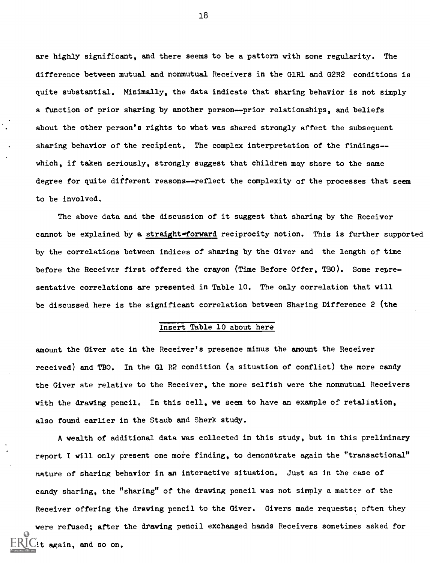are highly significant, and there seems to be a pattern with some regularity. The difference between mutual and nonmutual Receivers in the G1R1 and G2R2 conditions is quite substantial. Minimally, the data indicate that sharing behavior is not simply a function of prior sharing by another person--prior relationships, and beliefs about the other person's rights to what was shared strongly affect the subsequent sharing behavior of the recipient. The complex interpretation of the findings-which, if taken seriously, strongly suggest that children may share to the same degree for quite different reasons--reflect the complexity of the processes that seem to be involved,

The above data and the discussion of it suggest that sharing by the Receiver cannot be explained by a straight-forward reciprocity notion. This is further supported by the correlations between indices of sharing by the Giver and the length of time before the Receivar first offered the crayon (Time Before Offer, TBO). Some representative correlations are presented in Table 10. The only correlation that will be discussed here is the significant correlation between Sharing Difference 2 (the

#### Insert Table 10 about here

amount the Giver ate in the Receiver's presence minus the amount the Receiver received) and TBO. In the G1 R2 condition (a situation of conflict) the more candy the Giver ate relative to the Receiver, the more selfish were the nonmutual Receivers with the drawing pencil. In this cell, we seem to have an example of retaliation, also found earlier in the Staub and Sherk study.

A wealth of additional data was collected in this study, but in this preliminary report I will only present one more finding, to demonstrate again the "transactional" mature of sharing behavior in an interactive situation. Just as in the case of candy sharing, the "sharing" of the drawing pencil was not simply a matter of the Receiver offering the drawing pencil to the Giver. Givers made requests; often they were refused; after the drawing pencil exchanged hands Receivers sometimes asked for it again, and so on.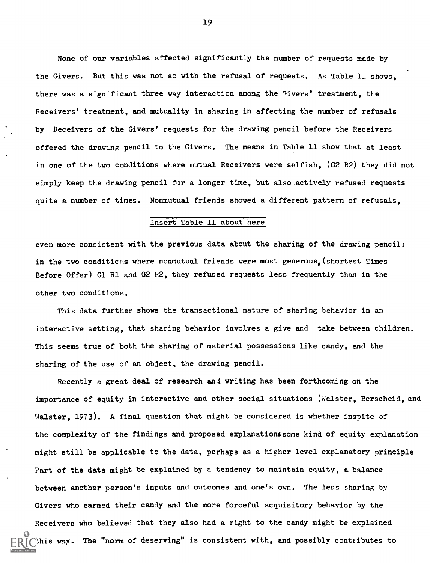None of our variables affected significantly the number of requests made by the Givers. But this was not so with the refusal of requests. As Table 11 shows, there was a significant three way interaction among the Givers' treatment, the Receivers' treatment, and mutuality in sharing in affecting the number of refusals by Receivers of the Givers' requests for the drawing pencil before the Receivers offered the drawing pencil to the Givers. The means in Table 11 show that at least in one of the two conditions where mutual Receivers were selfish, (G2 R2) they did not simply keep the drawing pencil for a longer time, but also actively refused requests quite a number of times. Nonmutual friends showed a different pattern of refusals,

#### Insert Table 11 about here

even more consistent with the previous data about the sharing of the drawing pencil: in the two conditions where nonmutual friends were most generous, (shortest Times Before Offer) G1 R1 and G2 R2, they refused requests less frequently than in the other two conditions.

This data further shows the transactional nature of sharing behavior in an interactive setting, that sharing behavior involves a give and take between children. This seems true of both the sharing of material possessions like candy, and the sharing of the use of an object, the drawing pencil.

Recently a great deal of research and writing has been forthcoming on the importance of equity in interactive and other social situations (Walster, Berscheid, and Walster, 1973). A final question that might be considered is whether inspite of the complexity of the findings and proposed explanations some kind of equity explanation might still be applicable to the data, perhaps as a higher level explanatory principle Part of the data might be explained by a tendency to maintain equity, a balance between another person's inputs and outcomes and one's own. The less sharing by Givers who earned their candy and the more forceful acquisitory behavior by the Receivers who believed that they also had a right to the candy might be explained this way. The "norm of deserving" is consistent with, and possibly contributes to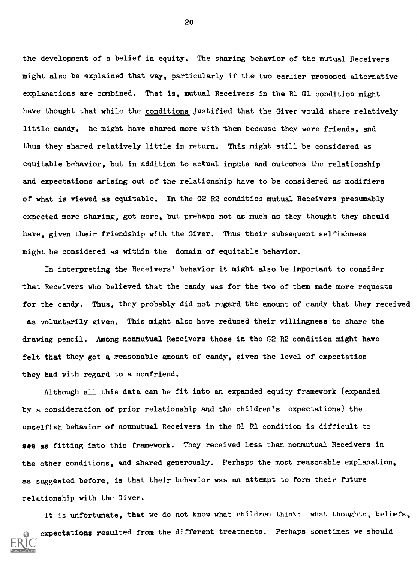the development of a belief in equity. The sharing behavior of the mutual Receivers might also be explained that way, particularly if the two earlier proposed alternative explanations are combined. That is, mutual Receivers in the R1 G1 condition might have thought that while the conditions justified that the Giver would share relatively little candy, he might have shared more with them because they were friends, and thus they shared relatively little in return. This might still be considered as equitable behavior, but in addition to actual inputs and outcomes the relationship and expectations arising out of the relationship have to be considered as modifiers of what is viewed as equitable. In the G2 R2 condition mutual Receivers presumably expected more sharing, got more, but prehaps not as much as they thought they should have, given their friendship with the Giver. Thus their subsequent selfishness might be considered as within the domain of equitable behavior.

In interpreting the Receivers' behavior it might also be important to consider that Receivers who believed that the candy was for the two of them made more requests for the candy. Thus, they probably did not regard the amount of candy that they received as voluntarily given. This might also have reduced their willingness to share the drawing pencil. Among nonmutual Receivers those in the G2 R2 condition might have felt that they got a reasonable amount of candy, given the level of expectation they had with regard to a nonfriend.

Although all this data can be fit into an expanded equity framework (expanded by a consideration of prior relationship and the children's expectations) the unselfish behavior of nonmutual Receivers in the G1 R1 condition is difficult to see as fitting into this framework. They received less than nonmutual Receivers in the other conditions, and shared generously. Perhaps the most reasonable explanation, as suggested before, is that their behavior was an attempt to form their future relationship with the Giver.

It is unfortunate, that we do not know what children think: what thoughts, beliefs, expectations resulted from the different treatments. Perhaps sometimes we should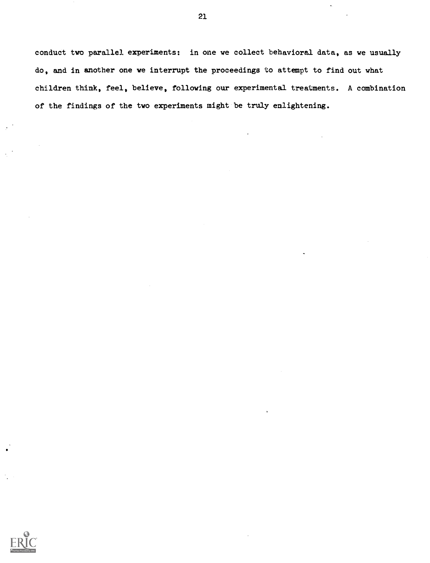conduct two parallel experiments: in one we collect behavioral data, as we usually do, and in another one we interrupt the proceedings to attempt to find out what children think, feel, believe, following our experimental treatments. A combination of the findings of the two experiments might be truly enlightening.

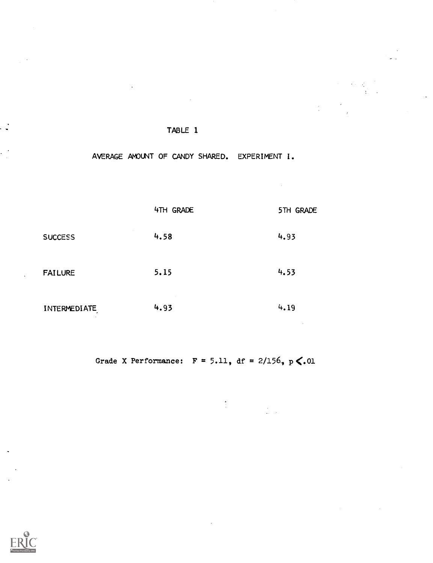### AVERAGE AMOUNT OF CANDY SHARED. EXPERIMENT I.

 $\label{eq:2} \frac{d\mathbf{y}}{dt} = \frac{d\mathbf{y}}{dt} \sum_{i=1}^N \frac{d\mathbf{y}}{dt} \, \frac{d\mathbf{y}}{dt} \, .$ 

 $\frac{1}{4}$  ,  $\frac{1}{4}$ 

 $\sim 10$ 

|                                          | 4TH GRADE | 5TH GRADE |
|------------------------------------------|-----------|-----------|
| <b>SUCCESS</b>                           | 4.58      | 4.93      |
| <b>FAILURE</b>                           | 5.15      | 4.53      |
| INTERMEDIATE<br>$\overline{\phantom{a}}$ | 4.93      | 4.19      |

Grade X Performance:  $F = 5.11$ , df = 2/156, p <. 01

 $\begin{aligned} \mathbf{A} & \mathbf{B} & \mathbf{B} & \mathbf{B} & \mathbf{B} & \mathbf{B} & \mathbf{B} & \mathbf{B} & \mathbf{B} & \mathbf{B} & \mathbf{B} \\ \mathbf{A} & \mathbf{B} & \mathbf{B} & \mathbf{B} & \mathbf{B} & \mathbf{B} & \mathbf{B} & \mathbf{B} & \mathbf{B} & \mathbf{B} & \mathbf{B} \\ \mathbf{A} & \mathbf{B} & \mathbf{B} & \mathbf{B} & \mathbf{B} & \mathbf{B} & \mathbf{B} & \mathbf{B} & \mathbf{B$ 

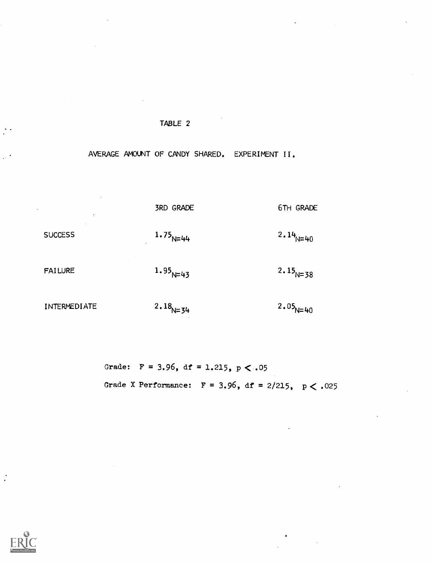# AVERAGE AMOUNT OF CANDY SHARED. EXPERIMENT II.

**SUCCESS** FAILURE 3RD GRADE 6TH GRADE  $1.75_{N=44}$  $1.95_{N=43}$ 2.14 $\mu$ <sub>N=40</sub>  $2.15_{N=38}$ 

INTERMEDIATE

2.18 $N=34$ 

 $2.05_{\text{N}=40}$ 

Grade:  $F = 3.96$ , df = 1.215, p < .05 Grade X Performance:  $F = 3.96$ , df = 2/215,  $p < .025$ 

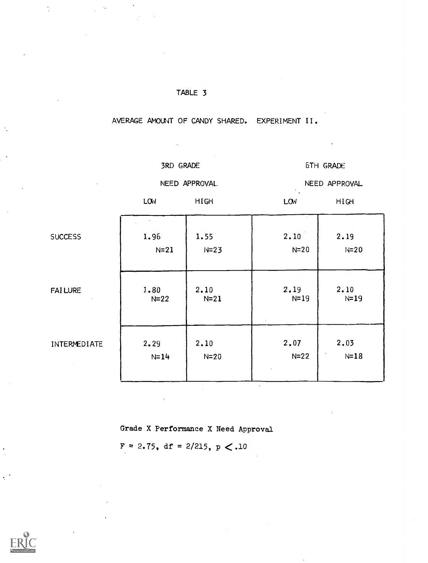| TABLE 3 |  |  |  |  |  |  |  |  |
|---------|--|--|--|--|--|--|--|--|
|---------|--|--|--|--|--|--|--|--|

AVERAGE AMOUNT OF CANDY SHARED. EXPERIMENT II.

3RD GRADE

6TH GRADE

NEED APPROVAL.

NEED APPROVAL

LOW HIGH LCW

HIGH

| <b>SUCCESS</b> | 1.96   | 1.55   | 2.10     | 2.19   |
|----------------|--------|--------|----------|--------|
|                | $N=21$ | $N=23$ | $N = 20$ | $N=20$ |
| <b>FAILURE</b> | 1.80   | 2.10   | 2.19     | 2.10   |
|                | $N=22$ | $N=21$ | $N=19$   | $N=19$ |
| INTERMEDIATE   | 2.29   | 2.10   | 2.07     | 2.03   |
|                | $N=14$ | $N=20$ | $N=22$   | $N=18$ |

Grade X Performance X Need Approval

 $F = 2.75$ , df = 2/215, p < .10

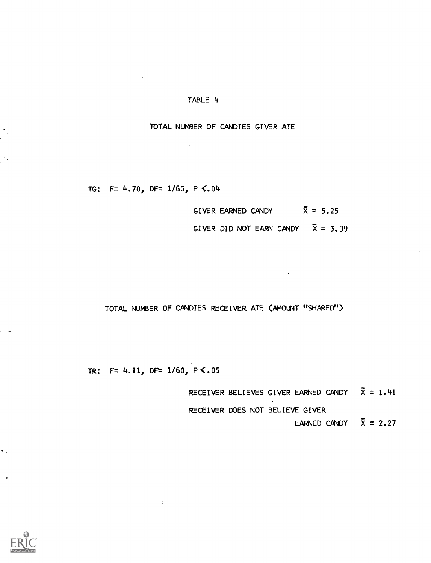### TOTAL NUMBER OF CANDIES GIVER ATE

TG:  $F= 4.70$ , DF= 1/60, P <.04

| GIVER EARNED CANDY       |  |  | $X = 5.25$ |
|--------------------------|--|--|------------|
| GIVER DID NOT EARN CANDY |  |  | $X = 3.99$ |

# TOTAL NUMBER OF CANDIES RECEIVER ATE (AMOUNT "SHARED")

TR: F= 4.11, DF= 1/60, P<.05

RECEIVER BELIEVES GIVER EARNED CANDY  $\bar{X} = 1.41$ 

RECEIVER DOES NOT BELIEVE GIVER

EARNED CANDY  $\overline{X} = 2.27$ 

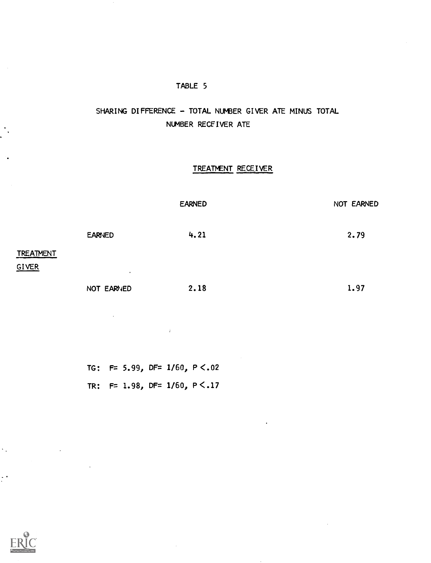# SHARING DIFFERENCE - TOTAL NUMBER GIVER ATE MINUS TOTAL NUMBER RECEIVER ATE

# TREATMENT RECEIVER

|                           |               | <b>EARNED</b> | NOT EARNED |
|---------------------------|---------------|---------------|------------|
|                           | <b>EARNED</b> | 4.21          | 2.79       |
| <b>TREATMENT</b><br>GIVER | $\cdot$       |               |            |
|                           | NOT EARNED    | 2.18          | 1.97       |

TG: F= 5.99, DF= 1/60, P <.02 TR: F= 1.98, DF= 1/60, P <.17

 $\bar{L}$ 



 $\ddot{\phantom{a}}$  .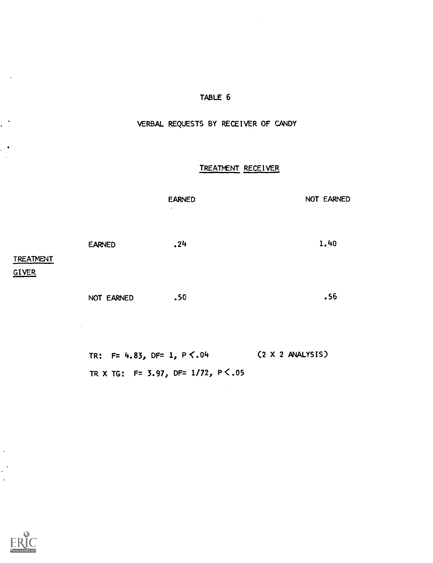# VERBAL REQUESTS BY RECEIVER OF CANDY

# TREATNENT RECEIVER

| $\sim$ 10 $\pm$ |               | <b>EARNED</b><br>$\cdot$ | NOT EARNED |
|-----------------|---------------|--------------------------|------------|
| TREATMENT       | <b>EARNED</b> | .24                      | 1.40       |
| GIVER           | NOT EARNED    | .50                      | .56        |

TR:  $F = 4.83$ ,  $DF = 1$ ,  $P \le 0.04$  (2 X 2 ANALYSIS) TR X TG:  $F = 3.97$ , DF= 1/72, P <.05



 $\ddot{\phantom{a}}$ 

 $\sim 10^7$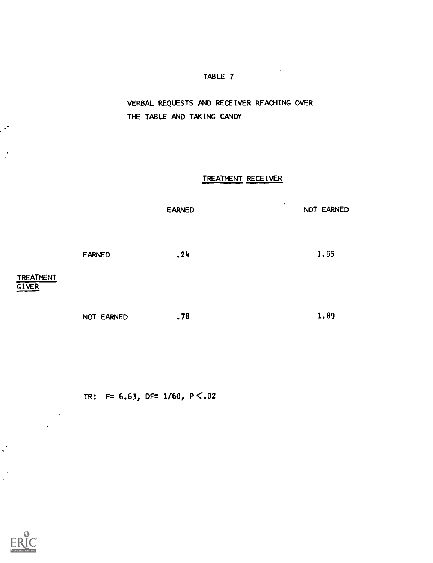VERBAL REQUESTS AND RECEIVER REACHING OVER THE TABLE AND TAKING CANDY

## TREATMENT RECEIVER

EARNED EARNED NOT EARNED .24 1.95

NOT EARNED .78 1.89

TR: F=  $6.63$ , DF=  $1/60$ , P  $\lt.02$ 



 $\mathbf{L}^{\mathbf{S}}$ 

TREATMENT **GIVER** 

 $\mathcal{L}$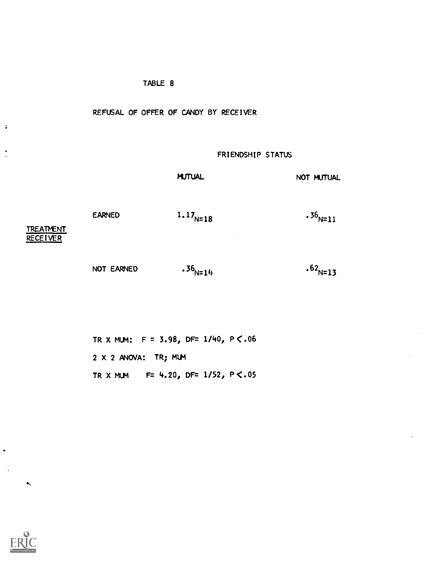### REFUSAL OF OFFER OF CANDY BY RECEIVER

### FRIENDSHIP STATUS

MUTUAL NOT MUTUAL

 $.36$ <sub>N=11</sub>

EARNED

 $1.17_{N=18}$ 

**TREATMENT** RECEIVER

 $\ddot{\bullet}$ 

NOT EARNED

 $.36_{N=14}$ 

 $.62_{N=13}$ 

TR X MUM:  $F = 3.98$ , DF= 1/40, P  $\lt$ .06 2 X 2 ANOVA: TR; MIM TR X MUM  $F= 4.20$ , DF= 1/52, P <.05



 $\hat{\mathbf{x}}$ 

 $\ddot{\phantom{0}}$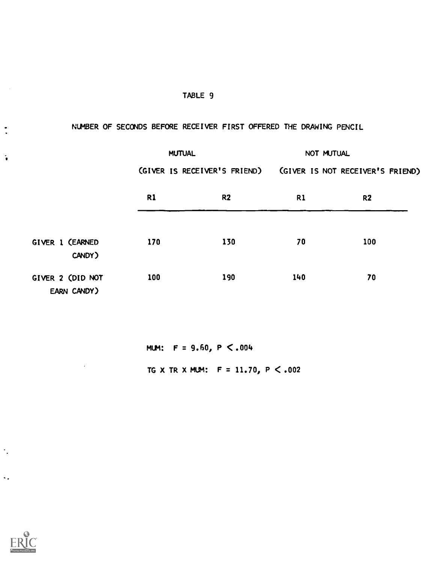# . NUMBER OF SECONDS BEFORE RECEIVER FIRST OFFERED THE DRAWING PENCIL

|                                 | <b>MUTUAL</b> |                              | NOT MUTUAL |                                  |
|---------------------------------|---------------|------------------------------|------------|----------------------------------|
|                                 |               | (GIVER IS RECEIVER'S FRIEND) |            | (GIVER IS NOT RECEIVER'S FRIEND) |
|                                 | R1            | R <sub>2</sub>               | R1         | R <sub>2</sub>                   |
| GIVER 1 (EARNED<br>CANDY)       | 170           | 130                          | 70         | 100                              |
| GIVER 2 (DID NOT<br>EARN CANDY) | 100           | 190                          | 140        | 70                               |

MUM:  $F = 9.60, P \le .004$ 

TG X TR X MLM:  $F = 11.70, P < .002$ 



 $\ddot{\phantom{a}}$ 

 $\ddotsc$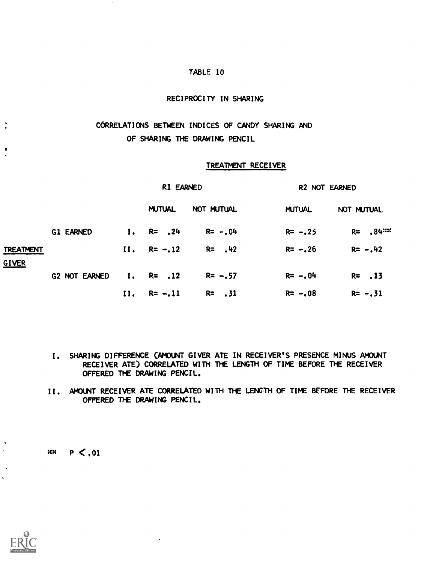### RECIPROCITY IN SHARING

# CORRELATIONS BETWEEN INDICES OF CANDY SHARING AND OF SHARING THE DRAWING PENCIL

#### TREATMENT RECEIVER

|                           |                  | R1 EARNED |                  |             | R2 NOT EARNED |             |  |
|---------------------------|------------------|-----------|------------------|-------------|---------------|-------------|--|
|                           |                  |           | <b>MUTUAL</b>    | NOT MUTUAL  | <b>MUTUAL</b> | NOT MUTUAL  |  |
|                           | <b>G1 EARNED</b> |           | $I. R = .24$     | $R = -0.04$ | $R = -25$     | $R = 84$    |  |
| <b>TREATMENT</b><br>GIVER |                  |           | $II. \tRe = -12$ | $R = 42$    | $R = -0.26$   | $R = -0.42$ |  |
|                           | G2 NOT EARNED    |           | $I.$ R= .12      | $R = -0.57$ | $R = -0.04$   | $R = 13$    |  |
|                           |                  | 11.       | $R = -11$        | $R = 31$    | $R = -0.08$   | $R = -0.31$ |  |

- I. SHARING DIFFERENCE (AMOUNT GIVER ATE IN RECEIVER'S PRESENCE MINUS AMOUNT RECEIVER ATE) CORRELATED WITH THE LENGTH OF TIME BEFORE THE RECEIVER OFFERED THE DRAWING PENCIL.
- II. AMOUNT RECEIVER ATE CORRELATED WITH THE LENGTH OF TIME BFFORE THE RECEIVER OFFERED THE DRAWING PENCIL.

 $x: P < 0.01$ 

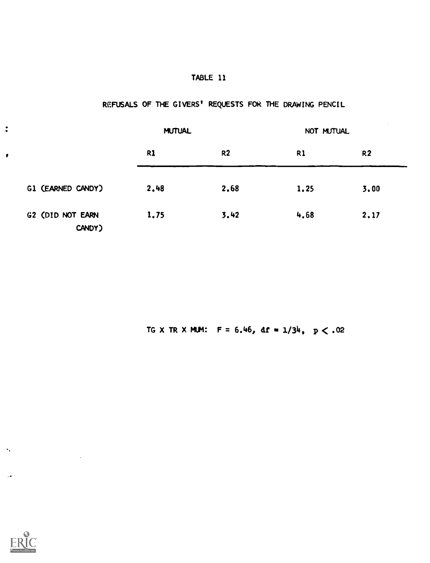# REFUSALS OF THE GIVERS' REQUESTS FOR THE DRAWING PENCIL

|                            | <b>MUTUAL</b> |                | NOT MUTUAL     | $\sim$         |  |
|----------------------------|---------------|----------------|----------------|----------------|--|
|                            | R1            | R <sub>2</sub> | R <sub>1</sub> | R <sub>2</sub> |  |
| G1 (EARNED CANDY)          | 2,48          | 2.68           | 1.25           | 3.00           |  |
| G2 (DID NOT EARN<br>CANDY) | 1.75          | 3.42           | 4.68           | 2.17           |  |

TG X TR X MUM:  $F = 6.46$ , df =  $1/34$ ,  $p < .02$ 



 $\bullet$  .

 $\ddot{\cdot}$ 

 $\pmb{\theta}$